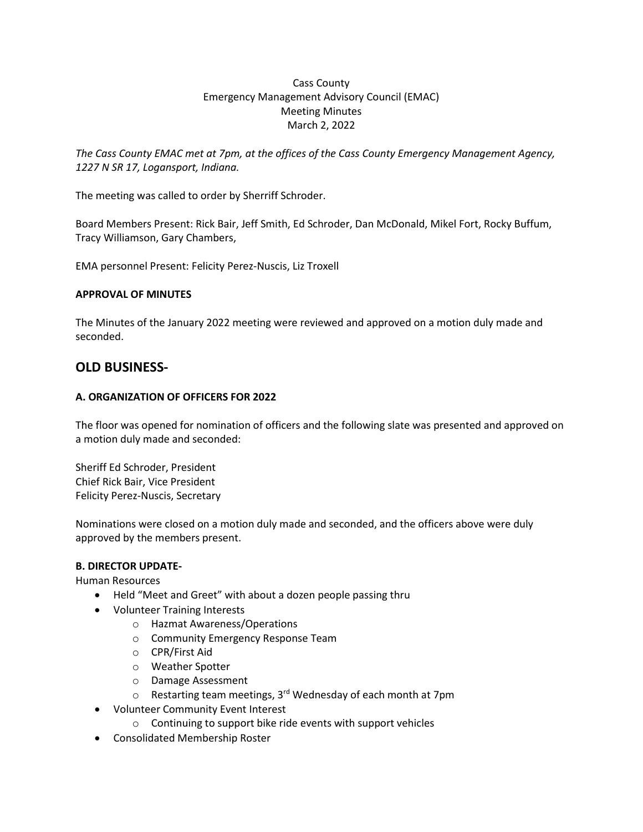# Cass County Emergency Management Advisory Council (EMAC) Meeting Minutes March 2, 2022

*The Cass County EMAC met at 7pm, at the offices of the Cass County Emergency Management Agency, 1227 N SR 17, Logansport, Indiana.* 

The meeting was called to order by Sherriff Schroder.

Board Members Present: Rick Bair, Jeff Smith, Ed Schroder, Dan McDonald, Mikel Fort, Rocky Buffum, Tracy Williamson, Gary Chambers,

EMA personnel Present: Felicity Perez-Nuscis, Liz Troxell

### **APPROVAL OF MINUTES**

The Minutes of the January 2022 meeting were reviewed and approved on a motion duly made and seconded.

# **OLD BUSINESS-**

# **A. ORGANIZATION OF OFFICERS FOR 2022**

The floor was opened for nomination of officers and the following slate was presented and approved on a motion duly made and seconded:

Sheriff Ed Schroder, President Chief Rick Bair, Vice President Felicity Perez-Nuscis, Secretary

Nominations were closed on a motion duly made and seconded, and the officers above were duly approved by the members present.

### **B. DIRECTOR UPDATE-**

Human Resources

- Held "Meet and Greet" with about a dozen people passing thru
- Volunteer Training Interests
	- o Hazmat Awareness/Operations
	- o Community Emergency Response Team
	- o CPR/First Aid
	- o Weather Spotter
	- o Damage Assessment
	- $\circ$  Restarting team meetings, 3<sup>rd</sup> Wednesday of each month at 7pm
- Volunteer Community Event Interest
	- o Continuing to support bike ride events with support vehicles
- Consolidated Membership Roster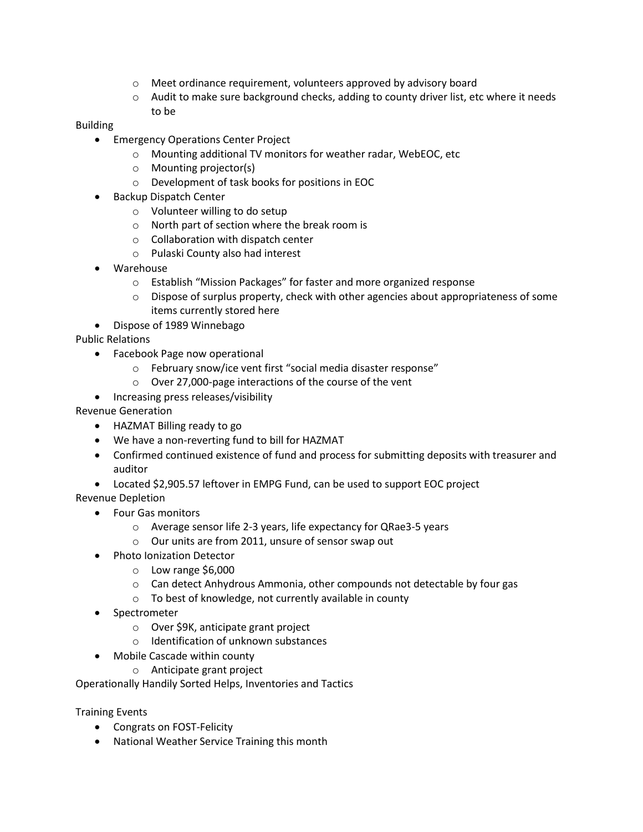- o Meet ordinance requirement, volunteers approved by advisory board
- $\circ$  Audit to make sure background checks, adding to county driver list, etc where it needs to be

# Building

- Emergency Operations Center Project
	- o Mounting additional TV monitors for weather radar, WebEOC, etc
	- o Mounting projector(s)
	- o Development of task books for positions in EOC
- Backup Dispatch Center
	- o Volunteer willing to do setup
	- o North part of section where the break room is
	- o Collaboration with dispatch center
	- o Pulaski County also had interest
- Warehouse
	- o Establish "Mission Packages" for faster and more organized response
	- $\circ$  Dispose of surplus property, check with other agencies about appropriateness of some items currently stored here
- Dispose of 1989 Winnebago

Public Relations

- Facebook Page now operational
	- o February snow/ice vent first "social media disaster response"
	- o Over 27,000-page interactions of the course of the vent
- Increasing press releases/visibility

# Revenue Generation

- HAZMAT Billing ready to go
- We have a non-reverting fund to bill for HAZMAT
- Confirmed continued existence of fund and process for submitting deposits with treasurer and auditor
- Located \$2,905.57 leftover in EMPG Fund, can be used to support EOC project

Revenue Depletion

- Four Gas monitors
	- o Average sensor life 2-3 years, life expectancy for QRae3-5 years
	- o Our units are from 2011, unsure of sensor swap out
- Photo Ionization Detector
	- o Low range \$6,000
	- o Can detect Anhydrous Ammonia, other compounds not detectable by four gas
	- o To best of knowledge, not currently available in county
- **Spectrometer** 
	- o Over \$9K, anticipate grant project
	- o Identification of unknown substances
- Mobile Cascade within county
	- o Anticipate grant project

Operationally Handily Sorted Helps, Inventories and Tactics

Training Events

- Congrats on FOST-Felicity
- National Weather Service Training this month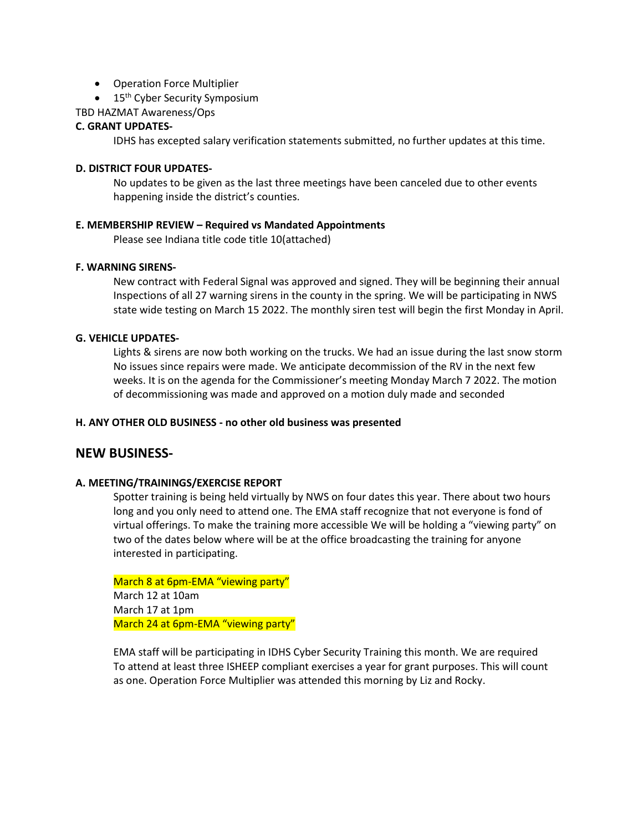- Operation Force Multiplier
- 15<sup>th</sup> Cyber Security Symposium

TBD HAZMAT Awareness/Ops

#### **C. GRANT UPDATES-**

IDHS has excepted salary verification statements submitted, no further updates at this time.

### **D. DISTRICT FOUR UPDATES-**

No updates to be given as the last three meetings have been canceled due to other events happening inside the district's counties.

#### **E. MEMBERSHIP REVIEW – Required vs Mandated Appointments**

Please see Indiana title code title 10(attached)

#### **F. WARNING SIRENS-**

New contract with Federal Signal was approved and signed. They will be beginning their annual Inspections of all 27 warning sirens in the county in the spring. We will be participating in NWS state wide testing on March 15 2022. The monthly siren test will begin the first Monday in April.

#### **G. VEHICLE UPDATES-**

Lights & sirens are now both working on the trucks. We had an issue during the last snow storm No issues since repairs were made. We anticipate decommission of the RV in the next few weeks. It is on the agenda for the Commissioner's meeting Monday March 7 2022. The motion of decommissioning was made and approved on a motion duly made and seconded

#### **H. ANY OTHER OLD BUSINESS - no other old business was presented**

# **NEW BUSINESS-**

### **A. MEETING/TRAININGS/EXERCISE REPORT**

Spotter training is being held virtually by NWS on four dates this year. There about two hours long and you only need to attend one. The EMA staff recognize that not everyone is fond of virtual offerings. To make the training more accessible We will be holding a "viewing party" on two of the dates below where will be at the office broadcasting the training for anyone interested in participating.

March 8 at 6pm-EMA "viewing party" March 12 at 10am March 17 at 1pm March 24 at 6pm-EMA "viewing party"

EMA staff will be participating in IDHS Cyber Security Training this month. We are required To attend at least three ISHEEP compliant exercises a year for grant purposes. This will count as one. Operation Force Multiplier was attended this morning by Liz and Rocky.